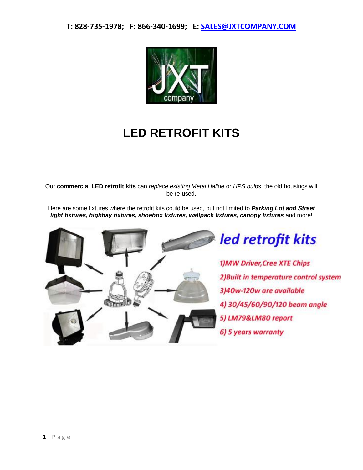

## **LED RETROFIT KITS**

Our **commercial LED retrofit kits** can *replace existing Metal Halide* or *HPS bulbs*, the old housings will be re-used.

Here are some fixtures where the retrofit kits could be used, but not limited to *Parking Lot and Street*  light fixtures, highbay fixtures, shoebox fixtures, wallpack fixtures, canopy fixtures and more!



led retrofit kits

1) MW Driver, Cree XTE Chips 2) Built in temperature control system 3)40w-120w are available 4) 30/45/60/90/120 beam angle 5) LM79&LM80 report 6) 5 years warranty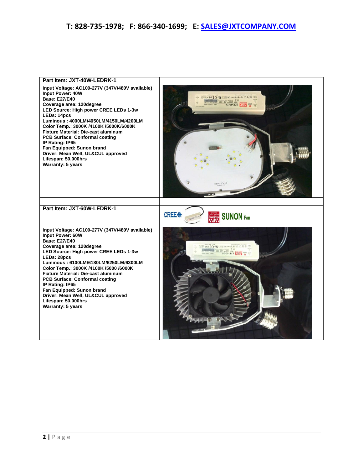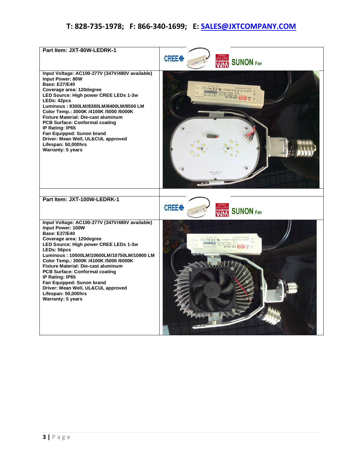